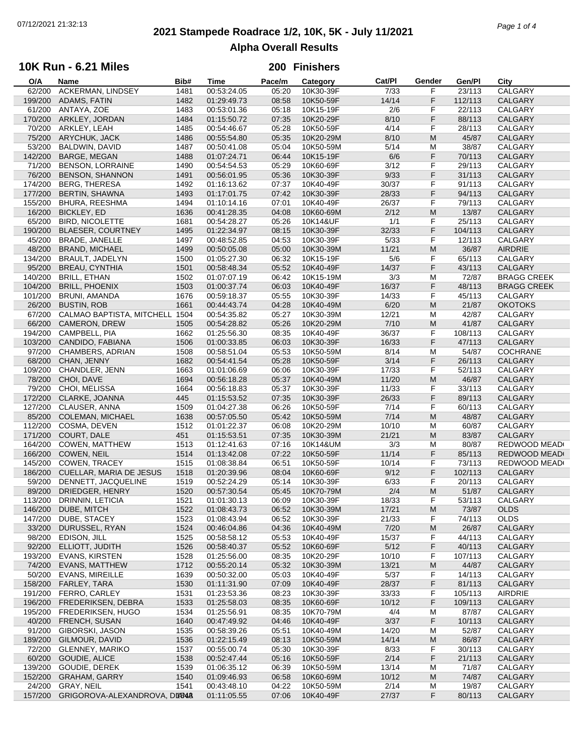# **2021 Stampede Roadrace 1/2, 10K, 5K - July 11/2021** 07/12/2021 21:32:13 *Page 1 of 4* **Alpha Overall Results**

### **10K Run - 6.21 Miles**

#### **200 Finishers**

| O/A     | Name                           | Bib# | Time        | Pace/m | Category  | Cat/PI | Gender | Gen/Pl  | City               |
|---------|--------------------------------|------|-------------|--------|-----------|--------|--------|---------|--------------------|
| 62/200  | <b>ACKERMAN, LINDSEY</b>       | 1481 | 00:53:24.05 | 05:20  | 10K30-39F | 7/33   | F      | 23/113  | CALGARY            |
| 199/200 | ADAMS, FATIN                   | 1482 | 01:29:49.73 | 08:58  | 10K50-59F | 14/14  | F      | 112/113 | <b>CALGARY</b>     |
| 61/200  | ANTAYA, ZOE                    | 1483 | 00:53:01.36 | 05:18  | 10K15-19F | 2/6    | F      | 22/113  | CALGARY            |
| 170/200 | ARKLEY, JORDAN                 | 1484 | 01:15:50.72 | 07:35  | 10K20-29F | 8/10   | F      | 88/113  | <b>CALGARY</b>     |
|         |                                |      |             |        |           |        | F      |         |                    |
| 70/200  | ARKLEY, LEAH                   | 1485 | 00:54:46.67 | 05:28  | 10K50-59F | 4/14   |        | 28/113  | CALGARY            |
| 75/200  | ARYCHUK, JACK                  | 1486 | 00:55:54.80 | 05:35  | 10K20-29M | 8/10   | M      | 45/87   | <b>CALGARY</b>     |
| 53/200  | BALDWIN, DAVID                 | 1487 | 00:50:41.08 | 05:04  | 10K50-59M | 5/14   | M      | 38/87   | CALGARY            |
| 142/200 | <b>BARGE, MEGAN</b>            | 1488 | 01:07:24.71 | 06:44  | 10K15-19F | 6/6    | F      | 70/113  | CALGARY            |
| 71/200  | <b>BENSON, LORRAINE</b>        | 1490 | 00:54:54.53 | 05:29  | 10K60-69F | 3/12   | F      | 29/113  | CALGARY            |
| 76/200  | <b>BENSON, SHANNON</b>         | 1491 | 00:56:01.95 | 05:36  | 10K30-39F | 9/33   | F      | 31/113  | <b>CALGARY</b>     |
| 174/200 | <b>BERG, THERESA</b>           | 1492 | 01:16:13.62 | 07:37  | 10K40-49F | 30/37  | F      | 91/113  | CALGARY            |
| 177/200 | <b>BERTIN, SHAWNA</b>          | 1493 | 01:17:01.75 | 07:42  | 10K30-39F | 28/33  | F      | 94/113  | <b>CALGARY</b>     |
|         |                                |      |             |        |           |        |        |         |                    |
| 155/200 | <b>BHURA, REESHMA</b>          | 1494 | 01:10:14.16 | 07:01  | 10K40-49F | 26/37  | F      | 79/113  | CALGARY            |
| 16/200  | <b>BICKLEY, ED</b>             | 1636 | 00:41:28.35 | 04:08  | 10K60-69M | 2/12   | M      | 13/87   | <b>CALGARY</b>     |
| 65/200  | <b>BIRD, NICOLETTE</b>         | 1681 | 00:54:28.27 | 05:26  | 10K14&UF  | 1/1    | F      | 25/113  | CALGARY            |
| 190/200 | <b>BLAESER, COURTNEY</b>       | 1495 | 01:22:34.97 | 08:15  | 10K30-39F | 32/33  | F      | 104/113 | <b>CALGARY</b>     |
| 45/200  | <b>BRADE, JANELLE</b>          | 1497 | 00:48:52.85 | 04:53  | 10K30-39F | 5/33   | F      | 12/113  | CALGARY            |
| 48/200  | <b>BRAND, MICHAEL</b>          | 1499 | 00:50:05.08 | 05:00  | 10K30-39M | 11/21  | M      | 36/87   | <b>AIRDRIE</b>     |
| 134/200 | <b>BRAULT, JADELYN</b>         | 1500 | 01:05:27.30 | 06:32  | 10K15-19F | 5/6    | F      | 65/113  | CALGARY            |
|         |                                |      |             |        |           |        |        |         |                    |
| 95/200  | <b>BREAU, CYNTHIA</b>          | 1501 | 00:58:48.34 | 05:52  | 10K40-49F | 14/37  | F      | 43/113  | <b>CALGARY</b>     |
| 140/200 | <b>BRILL, ETHAN</b>            | 1502 | 01:07:07.19 | 06:42  | 10K15-19M | 3/3    | M      | 72/87   | <b>BRAGG CREEK</b> |
| 104/200 | <b>BRILL, PHOENIX</b>          | 1503 | 01:00:37.74 | 06:03  | 10K40-49F | 16/37  | F      | 48/113  | <b>BRAGG CREEK</b> |
| 101/200 | <b>BRUNI, AMANDA</b>           | 1676 | 00:59:18.37 | 05:55  | 10K30-39F | 14/33  | F      | 45/113  | CALGARY            |
| 26/200  | <b>BUSTIN, ROB</b>             | 1661 | 00:44:43.74 | 04:28  | 10K40-49M | 6/20   | M      | 21/87   | <b>OKOTOKS</b>     |
| 67/200  | CALMAO BAPTISTA, MITCHELL 1504 |      | 00:54:35.82 | 05:27  | 10K30-39M | 12/21  | М      | 42/87   | CALGARY            |
| 66/200  | <b>CAMERON, DREW</b>           | 1505 | 00:54:28.82 | 05:26  | 10K20-29M | 7/10   | M      | 41/87   | <b>CALGARY</b>     |
|         |                                |      |             |        |           | 36/37  | F      |         | CALGARY            |
| 194/200 | CAMPBELL, PIA                  | 1662 | 01:25:56.30 | 08:35  | 10K40-49F |        |        | 108/113 |                    |
| 103/200 | CANDIDO, FABIANA               | 1506 | 01:00:33.85 | 06:03  | 10K30-39F | 16/33  | F      | 47/113  | <b>CALGARY</b>     |
| 97/200  | <b>CHAMBERS, ADRIAN</b>        | 1508 | 00:58:51.04 | 05:53  | 10K50-59M | 8/14   | М      | 54/87   | <b>COCHRANE</b>    |
| 68/200  | CHAN, JENNY                    | 1682 | 00:54:41.54 | 05:28  | 10K50-59F | 3/14   | F      | 26/113  | <b>CALGARY</b>     |
| 109/200 | CHANDLER, JENN                 | 1663 | 01:01:06.69 | 06:06  | 10K30-39F | 17/33  | F      | 52/113  | CALGARY            |
| 78/200  | CHOI, DAVE                     | 1694 | 00:56:18.28 | 05:37  | 10K40-49M | 11/20  | M      | 46/87   | CALGARY            |
| 79/200  | CHOI, MELISSA                  | 1664 | 00:56:18.83 | 05:37  | 10K30-39F | 11/33  | F      | 33/113  | CALGARY            |
| 172/200 | CLARKE, JOANNA                 | 445  | 01:15:53.52 | 07:35  | 10K30-39F | 26/33  | F      | 89/113  | <b>CALGARY</b>     |
|         |                                |      |             |        |           |        |        |         |                    |
| 127/200 | CLAUSER, ANNA                  | 1509 | 01:04:27.38 | 06:26  | 10K50-59F | 7/14   | F      | 60/113  | CALGARY            |
| 85/200  | <b>COLEMAN, MICHAEL</b>        | 1638 | 00:57:05.50 | 05:42  | 10K50-59M | 7/14   | M      | 48/87   | <b>CALGARY</b>     |
| 112/200 | COSMA, DEVEN                   | 1512 | 01:01:22.37 | 06:08  | 10K20-29M | 10/10  | М      | 60/87   | CALGARY            |
| 171/200 | COURT, DALE                    | 451  | 01:15:53.51 | 07:35  | 10K30-39M | 21/21  | M      | 83/87   | <b>CALGARY</b>     |
| 164/200 | <b>COWEN, MATTHEW</b>          | 1513 | 01:12:41.63 | 07:16  | 10K14&UM  | 3/3    | М      | 80/87   | REDWOOD MEAD       |
| 166/200 | COWEN, NEIL                    | 1514 | 01:13:42.08 | 07:22  | 10K50-59F | 11/14  | F      | 85/113  | REDWOOD MEAD       |
| 145/200 | COWEN, TRACEY                  | 1515 | 01:08:38.84 | 06:51  | 10K50-59F | 10/14  | F      | 73/113  | REDWOOD MEAD       |
|         |                                |      |             |        |           | 9/12   | F      | 102/113 | <b>CALGARY</b>     |
| 186/200 | CUELLAR, MARIA DE JESUS        | 1518 | 01:20:39.96 | 08:04  | 10K60-69F |        |        |         |                    |
| 59/200  | DENNETT, JACQUELINE            | 1519 | 00:52:24.29 | 05:14  | 10K30-39F | 6/33   | F      | 20/113  | CALGARY            |
| 89/200  | DRIEDGER, HENRY                | 1520 | 00:57:30.54 | 05:45  | 10K70-79M | 2/4    | M      | 51/87   | <b>CALGARY</b>     |
| 113/200 | DRINNIN, LETICIA               | 1521 | 01:01:30.13 | 06:09  | 10K30-39F | 18/33  | F      | 53/113  | CALGARY            |
| 146/200 | DUBE, MITCH                    | 1522 | 01:08:43.73 | 06:52  | 10K30-39M | 17/21  | M      | 73/87   | <b>OLDS</b>        |
| 147/200 | DUBE, STACEY                   | 1523 | 01:08:43.94 | 06:52  | 10K30-39F | 21/33  | F      | 74/113  | <b>OLDS</b>        |
| 33/200  | DURUSSEL, RYAN                 | 1524 | 00:46:04.86 | 04:36  | 10K40-49M | 7/20   | M      | 26/87   | CALGARY            |
| 98/200  | EDISON, JILL                   | 1525 | 00:58:58.12 | 05:53  | 10K40-49F | 15/37  | F      | 44/113  | CALGARY            |
|         |                                |      |             |        | 10K60-69F |        | F      |         |                    |
| 92/200  | ELLIOTT, JUDITH                | 1526 | 00:58:40.37 | 05:52  |           | 5/12   |        | 40/113  | <b>CALGARY</b>     |
| 193/200 | <b>EVANS, KIRSTEN</b>          | 1528 | 01:25:56.00 | 08:35  | 10K20-29F | 10/10  | F      | 107/113 | CALGARY            |
| 74/200  | <b>EVANS, MATTHEW</b>          | 1712 | 00:55:20.14 | 05:32  | 10K30-39M | 13/21  | M      | 44/87   | <b>CALGARY</b>     |
| 50/200  | <b>EVANS, MIREILLE</b>         | 1639 | 00:50:32.00 | 05:03  | 10K40-49F | 5/37   | F      | 14/113  | CALGARY            |
| 158/200 | FARLEY, TARA                   | 1530 | 01:11:31.90 | 07:09  | 10K40-49F | 28/37  | F      | 81/113  | <b>CALGARY</b>     |
| 191/200 | FERRO, CARLEY                  | 1531 | 01:23:53.36 | 08:23  | 10K30-39F | 33/33  | F      | 105/113 | <b>AIRDRIE</b>     |
| 196/200 | FREDERIKSEN, DEBRA             | 1533 | 01:25:58.03 | 08:35  | 10K60-69F | 10/12  | F      | 109/113 | <b>CALGARY</b>     |
| 195/200 | FREDERIKSEN, HUGO              | 1534 | 01:25:56.91 | 08:35  | 10K70-79M | 4/4    | М      | 87/87   | CALGARY            |
|         |                                |      |             |        |           |        |        |         |                    |
| 40/200  | <b>FRENCH, SUSAN</b>           | 1640 | 00:47:49.92 | 04:46  | 10K40-49F | 3/37   | F      | 10/113  | <b>CALGARY</b>     |
| 91/200  | GIBORSKI, JASON                | 1535 | 00:58:39.26 | 05:51  | 10K40-49M | 14/20  | М      | 52/87   | CALGARY            |
| 189/200 | GILMOUR, DAVID                 | 1536 | 01:22:15.49 | 08:13  | 10K50-59M | 14/14  | M      | 86/87   | <b>CALGARY</b>     |
| 72/200  | <b>GLENNEY, MARIKO</b>         | 1537 | 00:55:00.74 | 05:30  | 10K30-39F | 8/33   | F      | 30/113  | CALGARY            |
| 60/200  | GOUDIE, ALICE                  | 1538 | 00:52:47.44 | 05:16  | 10K50-59F | 2/14   | F      | 21/113  | <b>CALGARY</b>     |
| 139/200 | GOUDIE, DEREK                  | 1539 | 01:06:35.12 | 06:39  | 10K50-59M | 13/14  | M      | 71/87   | CALGARY            |
| 152/200 | <b>GRAHAM, GARRY</b>           | 1540 | 01:09:46.93 | 06:58  | 10K60-69M | 10/12  | M      | 74/87   | <b>CALGARY</b>     |
| 24/200  | GRAY, NEIL                     | 1541 | 00:43:48.10 | 04:22  | 10K50-59M | 2/14   | М      | 19/87   | CALGARY            |
|         |                                |      |             |        |           |        |        |         |                    |
| 157/200 | GRIGOROVA-ALEXANDROVA, DIANA   |      | 01:11:05.55 | 07:06  | 10K40-49F | 27/37  | F      | 80/113  | CALGARY            |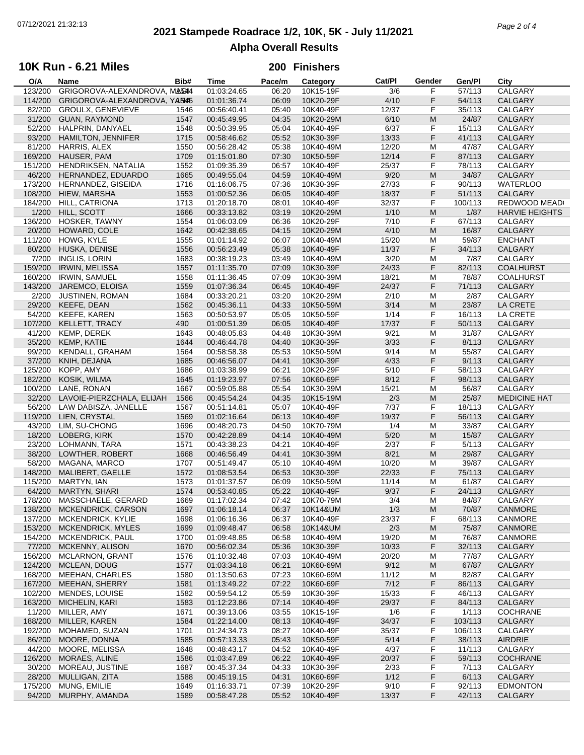# **2021 Stampede Roadrace 1/2, 10K, 5K - July 11/2021** 07/12/2021 21:32:13 *Page 2 of 4* **Alpha Overall Results**

### **10K Run - 6.21 Miles**

### **200 Finishers**

| O/A     | Name                          | Bib# | Time        | Pace/m | Category  | Cat/Pl | Gender | Gen/Pl  | City                  |
|---------|-------------------------------|------|-------------|--------|-----------|--------|--------|---------|-----------------------|
| 123/200 | GRIGOROVA-ALEXANDROVA, MAG44  |      | 01:03:24.65 | 06:20  | 10K15-19F | 3/6    | F      | 57/113  | CALGARY               |
| 114/200 | GRIGOROVA-ALEXANDROVA, YA5445 |      | 01:01:36.74 | 06:09  | 10K20-29F | 4/10   | F      | 54/113  | <b>CALGARY</b>        |
| 82/200  | GROULX, GENEVIEVE             | 1546 | 00:56:40.41 | 05:40  | 10K40-49F | 12/37  | F      | 35/113  | CALGARY               |
| 31/200  | <b>GUAN, RAYMOND</b>          | 1547 | 00:45:49.95 | 04:35  | 10K20-29M | 6/10   | M      | 24/87   | <b>CALGARY</b>        |
|         |                               |      |             |        |           | 6/37   | F      |         |                       |
| 52/200  | HALPRIN, DANYAEL              | 1548 | 00:50:39.95 | 05:04  | 10K40-49F |        |        | 15/113  | CALGARY               |
| 93/200  | HAMILTON, JENNIFER            | 1715 | 00:58:46.62 | 05:52  | 10K30-39F | 13/33  | F      | 41/113  | <b>CALGARY</b>        |
| 81/200  | <b>HARRIS, ALEX</b>           | 1550 | 00:56:28.42 | 05:38  | 10K40-49M | 12/20  | M      | 47/87   | CALGARY               |
| 169/200 | HAUSER, PAM                   | 1709 | 01:15:01.80 | 07:30  | 10K50-59F | 12/14  | F      | 87/113  | CALGARY               |
| 151/200 | HENDRIKSEN, NATALIA           | 1552 | 01:09:35.39 | 06:57  | 10K40-49F | 25/37  | F      | 78/113  | CALGARY               |
| 46/200  | HERNANDEZ, EDUARDO            | 1665 | 00:49:55.04 | 04:59  | 10K40-49M | 9/20   | M      | 34/87   | <b>CALGARY</b>        |
| 173/200 | HERNANDEZ, GISEIDA            | 1716 | 01:16:06.75 | 07:36  | 10K30-39F | 27/33  | F      | 90/113  | <b>WATERLOO</b>       |
| 108/200 | HIEW, MARSHA                  | 1553 | 01:00:52.36 | 06:05  | 10K40-49F | 18/37  | F      | 51/113  | <b>CALGARY</b>        |
|         |                               |      |             |        |           |        |        |         |                       |
| 184/200 | HILL, CATRIONA                | 1713 | 01:20:18.70 | 08:01  | 10K40-49F | 32/37  | F      | 100/113 | REDWOOD MEAD          |
| 1/200   | HILL, SCOTT                   | 1666 | 00:33:13.82 | 03:19  | 10K20-29M | 1/10   | M      | 1/87    | <b>HARVIE HEIGHTS</b> |
| 136/200 | <b>HOSKER, TAWNY</b>          | 1554 | 01:06:03.09 | 06:36  | 10K20-29F | 7/10   | F      | 67/113  | CALGARY               |
| 20/200  | HOWARD, COLE                  | 1642 | 00:42:38.65 | 04:15  | 10K20-29M | 4/10   | M      | 16/87   | <b>CALGARY</b>        |
| 111/200 | HOWG, KYLE                    | 1555 | 01:01:14.92 | 06:07  | 10K40-49M | 15/20  | М      | 59/87   | <b>ENCHANT</b>        |
| 80/200  | HUSKA, DENISE                 | 1556 | 00:56:23.49 | 05:38  | 10K40-49F | 11/37  | F      | 34/113  | <b>CALGARY</b>        |
| 7/200   | <b>INGLIS, LORIN</b>          | 1683 | 00:38:19.23 | 03:49  | 10K40-49M | 3/20   | M      | 7/87    | CALGARY               |
| 159/200 | <b>IRWIN, MELISSA</b>         | 1557 | 01:11:35.70 | 07:09  | 10K30-39F | 24/33  | F      | 82/113  | <b>COALHURST</b>      |
| 160/200 | <b>IRWIN, SAMUEL</b>          | 1558 | 01:11:36.45 | 07:09  | 10K30-39M | 18/21  | M      | 78/87   | COALHURST             |
|         |                               |      |             |        |           |        |        |         |                       |
| 143/200 | JAREMCO, ELOISA               | 1559 | 01:07:36.34 | 06:45  | 10K40-49F | 24/37  | F      | 71/113  | <b>CALGARY</b>        |
| 2/200   | JUSTINEN, ROMAN               | 1684 | 00:33:20.21 | 03:20  | 10K20-29M | 2/10   | M      | 2/87    | CALGARY               |
| 29/200  | KEEFE, DEAN                   | 1562 | 00:45:36.11 | 04:33  | 10K50-59M | 3/14   | M      | 23/87   | LA CRETE              |
| 54/200  | <b>KEEFE, KAREN</b>           | 1563 | 00:50:53.97 | 05:05  | 10K50-59F | 1/14   | F      | 16/113  | LA CRETE              |
| 107/200 | <b>KELLETT, TRACY</b>         | 490  | 01:00:51.39 | 06:05  | 10K40-49F | 17/37  | F      | 50/113  | <b>CALGARY</b>        |
| 41/200  | KEMP, DEREK                   | 1643 | 00:48:05.83 | 04:48  | 10K30-39M | 9/21   | M      | 31/87   | CALGARY               |
| 35/200  | <b>KEMP, KATIE</b>            | 1644 | 00:46:44.78 | 04:40  | 10K30-39F | 3/33   | F      | 8/113   | <b>CALGARY</b>        |
| 99/200  | KENDALL, GRAHAM               | 1564 | 00:58:58.38 | 05:53  | 10K50-59M | 9/14   | M      | 55/87   | CALGARY               |
|         |                               |      |             |        |           |        |        |         |                       |
| 37/200  | KNIH, DEJANA                  | 1685 | 00:46:56.07 | 04:41  | 10K30-39F | 4/33   | F      | 9/113   | <b>CALGARY</b>        |
| 125/200 | KOPP, AMY                     | 1686 | 01:03:38.99 | 06:21  | 10K20-29F | 5/10   | F      | 58/113  | CALGARY               |
| 182/200 | KOSIK, WILMA                  | 1645 | 01:19:23.97 | 07:56  | 10K60-69F | 8/12   | F      | 98/113  | <b>CALGARY</b>        |
| 100/200 | LANE, RONAN                   | 1667 | 00:59:05.88 | 05:54  | 10K30-39M | 15/21  | М      | 56/87   | CALGARY               |
| 32/200  | LAVOIE-PIERZCHALA, ELIJAH     | 1566 | 00:45:54.24 | 04:35  | 10K15-19M | 2/3    | M      | 25/87   | <b>MEDICINE HAT</b>   |
| 56/200  | LAW DABISZA, JANELLE          | 1567 | 00:51:14.81 | 05:07  | 10K40-49F | 7/37   | F      | 18/113  | CALGARY               |
| 119/200 | LIEN, CRYSTAL                 | 1569 | 01:02:16.64 | 06:13  | 10K40-49F | 19/37  | F      | 56/113  | <b>CALGARY</b>        |
| 43/200  | LIM, SU-CHONG                 | 1696 | 00:48:20.73 | 04:50  | 10K70-79M | 1/4    | M      | 33/87   | CALGARY               |
|         |                               |      |             |        |           |        |        |         |                       |
| 18/200  | LOBERG, KIRK                  | 1570 | 00:42:28.89 | 04:14  | 10K40-49M | 5/20   | M      | 15/87   | <b>CALGARY</b>        |
| 23/200  | LOHMANN, TARA                 | 1571 | 00:43:38.23 | 04:21  | 10K40-49F | 2/37   | F      | 5/113   | CALGARY               |
| 38/200  | LOWTHER, ROBERT               | 1668 | 00:46:56.49 | 04:41  | 10K30-39M | 8/21   | M      | 29/87   | <b>CALGARY</b>        |
| 58/200  | MAGANA, MARCO                 | 1707 | 00:51:49.47 | 05:10  | 10K40-49M | 10/20  | М      | 39/87   | CALGARY               |
| 148/200 | MALIBERT, GAELLE              | 1572 | 01:08:53.54 | 06:53  | 10K30-39F | 22/33  | F      | 75/113  | <b>CALGARY</b>        |
| 115/200 | MARTYN, IAN                   | 1573 | 01:01:37.57 | 06:09  | 10K50-59M | 11/14  | M      | 61/87   | CALGARY               |
| 64/200  | <b>MARTYN, SHARI</b>          | 1574 | 00:53:40.85 | 05:22  | 10K40-49F | 9/37   | F      | 24/113  | <b>CALGARY</b>        |
| 178/200 | MASSCHAELE, GERARD            | 1669 | 01:17:02.34 | 07:42  | 10K70-79M | 3/4    | M      | 84/87   | CALGARY               |
| 138/200 | MCKENDRICK, CARSON            | 1697 | 01:06:18.14 | 06:37  | 10K14&UM  | 1/3    | M      | 70/87   | CANMORE               |
| 137/200 | <b>MCKENDRICK, KYLIE</b>      |      | 01:06:16.36 | 06:37  | 10K40-49F | 23/37  | F      | 68/113  | CANMORE               |
|         |                               | 1698 |             |        |           |        |        |         |                       |
| 153/200 | <b>MCKENDRICK, MYLES</b>      | 1699 | 01:09:48.47 | 06:58  | 10K14&UM  | 2/3    | M      | 75/87   | CANMORE               |
| 154/200 | MCKENDRICK, PAUL              | 1700 | 01:09:48.85 | 06:58  | 10K40-49M | 19/20  | М      | 76/87   | CANMORE               |
| 77/200  | MCKENNY, ALISON               | 1670 | 00:56:02.34 | 05:36  | 10K30-39F | 10/33  | F      | 32/113  | <b>CALGARY</b>        |
| 156/200 | <b>MCLARNON, GRANT</b>        | 1576 | 01:10:32.48 | 07:03  | 10K40-49M | 20/20  | M      | 77/87   | CALGARY               |
| 124/200 | MCLEAN, DOUG                  | 1577 | 01:03:34.18 | 06:21  | 10K60-69M | 9/12   | M      | 67/87   | <b>CALGARY</b>        |
| 168/200 | MEEHAN, CHARLES               | 1580 | 01:13:50.63 | 07:23  | 10K60-69M | 11/12  | М      | 82/87   | CALGARY               |
| 167/200 | MEEHAN, SHERRY                | 1581 | 01:13:49.22 | 07:22  | 10K60-69F | 7/12   | F      | 86/113  | <b>CALGARY</b>        |
| 102/200 | MENDES, LOUISE                | 1582 | 00:59:54.12 | 05:59  | 10K30-39F | 15/33  | F      | 46/113  | CALGARY               |
| 163/200 | MICHELIN, KARI                | 1583 | 01:12:23.86 | 07:14  | 10K40-49F | 29/37  | F      | 84/113  | CALGARY               |
| 11/200  | MILLER, AMY                   |      |             |        | 10K15-19F |        | F      |         | <b>COCHRANE</b>       |
|         |                               | 1671 | 00:39:13.06 | 03:55  |           | 1/6    |        | 1/113   |                       |
| 188/200 | MILLER, KAREN                 | 1584 | 01:22:14.00 | 08:13  | 10K40-49F | 34/37  | F      | 103/113 | <b>CALGARY</b>        |
| 192/200 | MOHAMED, SUZAN                | 1701 | 01:24:34.73 | 08:27  | 10K40-49F | 35/37  | F      | 106/113 | CALGARY               |
| 86/200  | MOORE, DONNA                  | 1585 | 00:57:13.33 | 05:43  | 10K50-59F | 5/14   | F      | 38/113  | AIRDRIE               |
| 44/200  | MOORE, MELISSA                | 1648 | 00:48:43.17 | 04:52  | 10K40-49F | 4/37   | F      | 11/113  | CALGARY               |
| 126/200 | MORAES, ALINE                 | 1586 | 01:03:47.89 | 06:22  | 10K40-49F | 20/37  | F      | 59/113  | <b>COCHRANE</b>       |
| 30/200  | MOREAU, JUSTINE               | 1687 | 00:45:37.34 | 04:33  | 10K30-39F | 2/33   | F      | 7/113   | CALGARY               |
| 28/200  | MULLIGAN, ZITA                | 1588 | 00:45:19.15 | 04:31  | 10K60-69F | 1/12   | F      | 6/113   | <b>CALGARY</b>        |
| 175/200 | MUNG, EMILIE                  | 1649 | 01:16:33.71 | 07:39  | 10K20-29F | 9/10   | F      | 92/113  | <b>EDMONTON</b>       |
| 94/200  |                               | 1589 |             |        |           |        | F      |         |                       |
|         | MURPHY, AMANDA                |      | 00:58:47.28 | 05:52  | 10K40-49F | 13/37  |        | 42/113  | CALGARY               |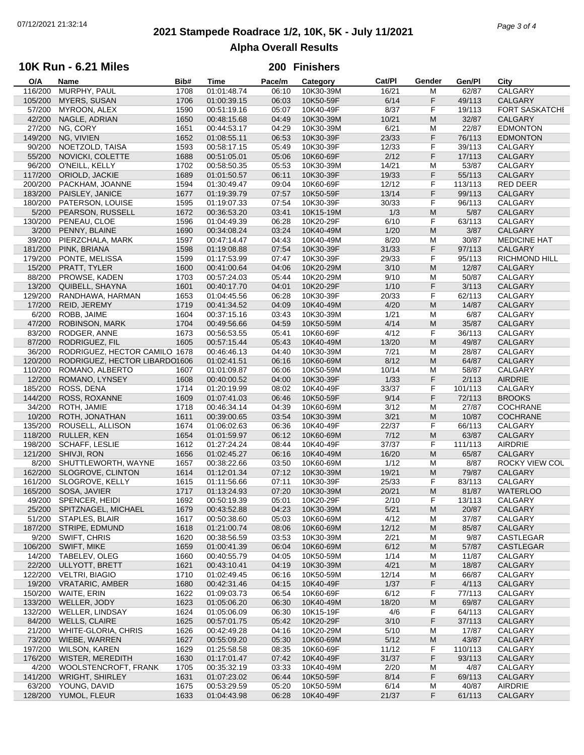# **2021 Stampede Roadrace 1/2, 10K, 5K - July 11/2021** 07/12/2021 21:32:14 *Page 3 of 4* **Alpha Overall Results**

### **10K Run - 6.21 Miles**

#### **200 Finishers**

| O/A     | Name                          | Bib# | Time        | Pace/m | Category  | Cat/PI | Gender | Gen/Pl  | City                  |
|---------|-------------------------------|------|-------------|--------|-----------|--------|--------|---------|-----------------------|
| 116/200 | MURPHY, PAUL                  | 1708 | 01:01:48.74 | 06:10  | 10K30-39M | 16/21  | M      | 62/87   | CALGARY               |
| 105/200 | <b>MYERS, SUSAN</b>           | 1706 | 01:00:39.15 | 06:03  | 10K50-59F | 6/14   | F.     | 49/113  | <b>CALGARY</b>        |
| 57/200  | MYROON, ALEX                  | 1590 | 00:51:19.16 | 05:07  | 10K40-49F | 8/37   | F      | 19/113  | <b>FORT SASKATCHI</b> |
| 42/200  | NAGLE, ADRIAN                 | 1650 | 00:48:15.68 | 04:49  | 10K30-39M | 10/21  | M      | 32/87   | <b>CALGARY</b>        |
| 27/200  | NG. CORY                      | 1651 | 00:44:53.17 | 04:29  | 10K30-39M | 6/21   | M      | 22/87   | <b>EDMONTON</b>       |
| 149/200 | NG, VIVIEN                    | 1652 | 01:08:55.11 | 06:53  | 10K30-39F | 23/33  | F      | 76/113  | <b>EDMONTON</b>       |
|         |                               |      |             |        |           |        |        |         |                       |
| 90/200  | NOETZOLD, TAISA               | 1593 | 00:58:17.15 | 05:49  | 10K30-39F | 12/33  | F      | 39/113  | CALGARY               |
| 55/200  | NOVICKI, COLETTE              | 1688 | 00:51:05.01 | 05:06  | 10K60-69F | 2/12   | F      | 17/113  | <b>CALGARY</b>        |
| 96/200  | O'NEILL, KELLY                | 1702 | 00:58:50.35 | 05:53  | 10K30-39M | 14/21  | M      | 53/87   | CALGARY               |
| 117/200 | ORIOLD, JACKIE                | 1689 | 01:01:50.57 | 06:11  | 10K30-39F | 19/33  | F      | 55/113  | <b>CALGARY</b>        |
| 200/200 | PACKHAM, JOANNE               | 1594 | 01:30:49.47 | 09:04  | 10K60-69F | 12/12  | F      | 113/113 | <b>RED DEER</b>       |
| 183/200 | PAISLEY, JANICE               | 1677 | 01:19:39.79 | 07:57  | 10K50-59F | 13/14  | F      | 99/113  | CALGARY               |
| 180/200 | PATERSON, LOUISE              | 1595 | 01:19:07.33 | 07:54  | 10K30-39F | 30/33  | F      | 96/113  | CALGARY               |
| 5/200   | PEARSON, RUSSELL              | 1672 | 00:36:53.20 | 03:41  | 10K15-19M | 1/3    | M      | 5/87    | CALGARY               |
| 130/200 | PENEAU, CLOE                  | 1596 | 01:04:49.39 | 06:28  | 10K20-29F | 6/10   | F      | 63/113  | CALGARY               |
|         |                               | 1690 |             |        |           | 1/20   | M      | 3/87    | <b>CALGARY</b>        |
| 3/200   | PENNY, BLAINE                 |      | 00:34:08.24 | 03:24  | 10K40-49M |        |        |         |                       |
| 39/200  | PIERZCHALA, MARK              | 1597 | 00:47:14.47 | 04:43  | 10K40-49M | 8/20   | M      | 30/87   | <b>MEDICINE HAT</b>   |
| 181/200 | PINK, BRIANA                  | 1598 | 01:19:08.88 | 07:54  | 10K30-39F | 31/33  | F      | 97/113  | <b>CALGARY</b>        |
| 179/200 | PONTE, MELISSA                | 1599 | 01:17:53.99 | 07:47  | 10K30-39F | 29/33  | F      | 95/113  | <b>RICHMOND HILL</b>  |
| 15/200  | PRATT, TYLER                  | 1600 | 00:41:00.64 | 04:06  | 10K20-29M | 3/10   | M      | 12/87   | CALGARY               |
| 88/200  | PROWSE, KADEN                 | 1703 | 00:57:24.03 | 05:44  | 10K20-29M | 9/10   | M      | 50/87   | CALGARY               |
| 13/200  | QUIBELL, SHAYNA               | 1601 | 00:40:17.70 | 04:01  | 10K20-29F | 1/10   | F      | 3/113   | <b>CALGARY</b>        |
| 129/200 | RANDHAWA, HARMAN              | 1653 | 01:04:45.56 | 06:28  | 10K30-39F | 20/33  | F      | 62/113  | CALGARY               |
| 17/200  | REID, JEREMY                  | 1719 | 00:41:34.52 | 04:09  | 10K40-49M | 4/20   | M      | 14/87   | CALGARY               |
| 6/200   | ROBB, JAIME                   | 1604 | 00:37:15.16 | 03:43  | 10K30-39M | 1/21   | M      | 6/87    | CALGARY               |
| 47/200  | <b>ROBINSON, MARK</b>         | 1704 | 00:49:56.66 | 04:59  | 10K50-59M | 4/14   | M      | 35/87   | <b>CALGARY</b>        |
| 83/200  | RODGER, ANNE                  | 1673 | 00:56:53.55 | 05:41  | 10K60-69F | 4/12   | F      | 36/113  | CALGARY               |
|         |                               |      |             |        |           |        |        |         |                       |
| 87/200  | RODRIGUEZ, FIL                | 1605 | 00:57:15.44 | 05:43  | 10K40-49M | 13/20  | M      | 49/87   | CALGARY               |
| 36/200  | RODRIGUEZ, HECTOR CAMILO 1678 |      | 00:46:46.13 | 04:40  | 10K30-39M | 7/21   | M      | 28/87   | CALGARY               |
| 120/200 | RODRIGUEZ, HECTOR LIBARDO1606 |      | 01:02:41.51 | 06:16  | 10K60-69M | 8/12   | M      | 64/87   | CALGARY               |
| 110/200 | ROMANO, ALBERTO               | 1607 | 01:01:09.87 | 06:06  | 10K50-59M | 10/14  | M      | 58/87   | CALGARY               |
| 12/200  | ROMANO, LYNSEY                | 1608 | 00:40:00.52 | 04:00  | 10K30-39F | 1/33   | F      | 2/113   | <b>AIRDRIE</b>        |
| 185/200 | ROSS, DENA                    | 1714 | 01:20:19.99 | 08:02  | 10K40-49F | 33/37  | F      | 101/113 | CALGARY               |
| 144/200 | ROSS, ROXANNE                 | 1609 | 01:07:41.03 | 06:46  | 10K50-59F | 9/14   | F      | 72/113  | <b>BROOKS</b>         |
| 34/200  | ROTH, JAMIE                   | 1718 | 00:46:34.14 | 04:39  | 10K60-69M | 3/12   | M      | 27/87   | <b>COCHRANE</b>       |
| 10/200  | ROTH, JONATHAN                | 1611 | 00:39:00.65 | 03:54  | 10K30-39M | 3/21   | M      | 10/87   | <b>COCHRANE</b>       |
| 135/200 | ROUSELL, ALLISON              | 1674 | 01:06:02.63 | 06:36  | 10K40-49F | 22/37  | F      | 66/113  | CALGARY               |
| 118/200 | RULLER, KEN                   | 1654 | 01:01:59.97 | 06:12  | 10K60-69M | 7/12   | M      | 63/87   | <b>CALGARY</b>        |
| 198/200 | <b>SCHAFF, LESLIE</b>         | 1612 | 01:27:24.24 | 08:44  | 10K40-49F | 37/37  | F      | 111/113 | AIRDRIE               |
| 121/200 | SHIVJI, RON                   | 1656 | 01:02:45.27 | 06:16  | 10K40-49M | 16/20  | M      | 65/87   | CALGARY               |
|         |                               |      |             |        |           |        |        |         |                       |
| 8/200   | SHUTTLEWORTH, WAYNE           | 1657 | 00:38:22.66 | 03:50  | 10K60-69M | 1/12   | M      | 8/87    | ROCKY VIEW COL        |
| 162/200 | SLOGROVE, CLINTON             | 1614 | 01:12:01.34 | 07:12  | 10K30-39M | 19/21  | M      | 79/87   | <b>CALGARY</b>        |
| 161/200 | SLOGROVE, KELLY               | 1615 | 01:11:56.66 | 07:11  | 10K30-39F | 25/33  | F      | 83/113  | CALGARY               |
| 165/200 | SOSA, JAVIER                  | 1717 | 01:13:24.93 | 07:20  | 10K30-39M | 20/21  | M      | 81/87   | <b>WATERLOO</b>       |
|         | 49/200 SPENCER, HEIDI         | 1692 | 00:50:19.39 | 05:01  | 10K20-29F | 2/10   | F      | 13/113  | CALGARY               |
|         | 25/200 SPITZNAGEL, MICHAEL    | 1679 | 00:43:52.88 | 04:23  | 10K30-39M | 5/21   | M      | 20/87   | <b>CALGARY</b>        |
|         | 51/200 STAPLES, BLAIR         | 1617 | 00:50:38.60 | 05:03  | 10K60-69M | 4/12   | M      | 37/87   | CALGARY               |
| 187/200 | STRIPE, EDMUND                | 1618 | 01:21:00.74 | 08:06  | 10K60-69M | 12/12  | M      | 85/87   | CALGARY               |
| 9/200   | SWIFT, CHRIS                  | 1620 | 00:38:56.59 | 03:53  | 10K30-39M | 2/21   | M      | 9/87    | CASTLEGAR             |
| 106/200 | SWIFT, MIKE                   | 1659 | 01:00:41.39 | 06:04  | 10K60-69M | 6/12   | M      | 57/87   | CASTLEGAR             |
| 14/200  | TABELEV, OLEG                 | 1660 | 00:40:55.79 | 04:05  | 10K50-59M | 1/14   | M      | 11/87   | CALGARY               |
| 22/200  | ULLYOTT, BRETT                | 1621 | 00:43:10.41 | 04:19  | 10K30-39M | 4/21   | M      | 18/87   | CALGARY               |
| 122/200 | <b>VELTRI, BIAGIO</b>         | 1710 | 01:02:49.45 | 06:16  | 10K50-59M | 12/14  | M      | 66/87   | CALGARY               |
| 19/200  | <b>VRATARIC, AMBER</b>        | 1680 | 00:42:31.46 | 04:15  | 10K40-49F | 1/37   | F      | 4/113   | CALGARY               |
| 150/200 | WAITE, ERIN                   | 1622 | 01:09:03.73 | 06:54  | 10K60-69F | 6/12   | F      | 77/113  | CALGARY               |
|         |                               |      |             |        |           |        |        |         |                       |
| 133/200 | WELLER, JODY                  | 1623 | 01:05:06.20 | 06:30  | 10K40-49M | 18/20  | M      | 69/87   | CALGARY               |
| 132/200 | WELLER, LINDSAY               | 1624 | 01:05:06.09 | 06:30  | 10K15-19F | 4/6    | F      | 64/113  | CALGARY               |
| 84/200  | <b>WELLS, CLAIRE</b>          | 1625 | 00:57:01.75 | 05:42  | 10K20-29F | 3/10   | F      | 37/113  | CALGARY               |
| 21/200  | WHITE-GLORIA, CHRIS           | 1626 | 00:42:49.28 | 04:16  | 10K20-29M | 5/10   | M      | 17/87   | CALGARY               |
| 73/200  | WIEBE, WARREN                 | 1627 | 00:55:09.20 | 05:30  | 10K60-69M | 5/12   | M      | 43/87   | CALGARY               |
| 197/200 | <b>WILSON, KAREN</b>          | 1629 | 01:25:58.58 | 08:35  | 10K60-69F | 11/12  | F      | 110/113 | CALGARY               |
| 176/200 | <b>WISTER, MEREDITH</b>       | 1630 | 01:17:01.47 | 07:42  | 10K40-49F | 31/37  | F      | 93/113  | <b>CALGARY</b>        |
| 4/200   | WOOLSTENCROFT, FRANK          | 1705 | 00:35:32.19 | 03:33  | 10K40-49M | 2/20   | M      | 4/87    | CALGARY               |
| 141/200 | <b>WRIGHT, SHIRLEY</b>        | 1631 | 01:07:23.02 | 06:44  | 10K50-59F | 8/14   | F      | 69/113  | CALGARY               |
| 63/200  | YOUNG, DAVID                  | 1675 | 00:53:29.59 | 05:20  | 10K50-59M | 6/14   | M      | 40/87   | <b>AIRDRIE</b>        |
| 128/200 | YUMOL, FLEUR                  | 1633 | 01:04:43.98 | 06:28  | 10K40-49F | 21/37  | F      | 61/113  | CALGARY               |